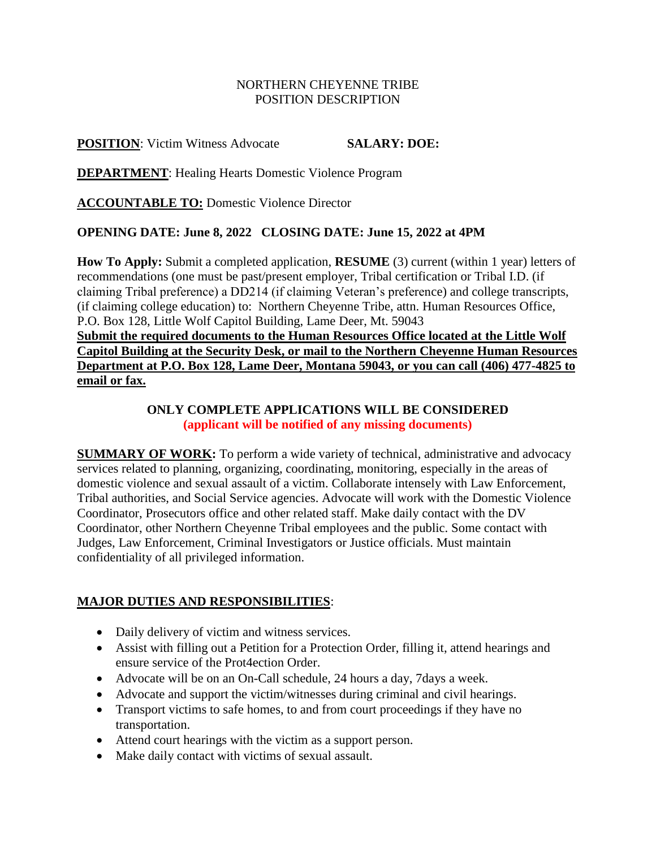### NORTHERN CHEYENNE TRIBE POSITION DESCRIPTION

## **POSITION**: Victim Witness Advocate **SALARY: DOE:**

**DEPARTMENT**: Healing Hearts Domestic Violence Program

**ACCOUNTABLE TO:** Domestic Violence Director

#### **OPENING DATE: June 8, 2022 CLOSING DATE: June 15, 2022 at 4PM**

**How To Apply:** Submit a completed application, **RESUME** (3) current (within 1 year) letters of recommendations (one must be past/present employer, Tribal certification or Tribal I.D. (if claiming Tribal preference) a DD214 (if claiming Veteran's preference) and college transcripts, (if claiming college education) to: Northern Cheyenne Tribe, attn. Human Resources Office, P.O. Box 128, Little Wolf Capitol Building, Lame Deer, Mt. 59043 **Submit the required documents to the Human Resources Office located at the Little Wolf Capitol Building at the Security Desk, or mail to the Northern Cheyenne Human Resources Department at P.O. Box 128, Lame Deer, Montana 59043, or you can call (406) 477-4825 to** 

**email or fax.**

### **ONLY COMPLETE APPLICATIONS WILL BE CONSIDERED (applicant will be notified of any missing documents)**

**SUMMARY OF WORK:** To perform a wide variety of technical, administrative and advocacy services related to planning, organizing, coordinating, monitoring, especially in the areas of domestic violence and sexual assault of a victim. Collaborate intensely with Law Enforcement, Tribal authorities, and Social Service agencies. Advocate will work with the Domestic Violence Coordinator, Prosecutors office and other related staff. Make daily contact with the DV Coordinator, other Northern Cheyenne Tribal employees and the public. Some contact with Judges, Law Enforcement, Criminal Investigators or Justice officials. Must maintain confidentiality of all privileged information.

# **MAJOR DUTIES AND RESPONSIBILITIES**:

- Daily delivery of victim and witness services.
- Assist with filling out a Petition for a Protection Order, filling it, attend hearings and ensure service of the Prot4ection Order.
- Advocate will be on an On-Call schedule, 24 hours a day, 7days a week.
- Advocate and support the victim/witnesses during criminal and civil hearings.
- Transport victims to safe homes, to and from court proceedings if they have no transportation.
- Attend court hearings with the victim as a support person.
- Make daily contact with victims of sexual assault.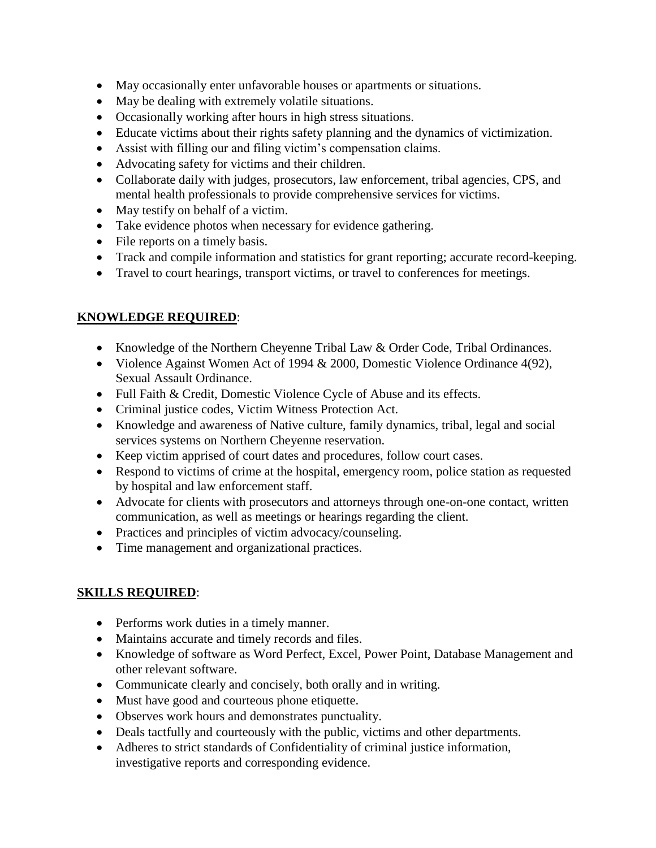- May occasionally enter unfavorable houses or apartments or situations.
- May be dealing with extremely volatile situations.
- Occasionally working after hours in high stress situations.
- Educate victims about their rights safety planning and the dynamics of victimization.
- Assist with filling our and filing victim's compensation claims.
- Advocating safety for victims and their children.
- Collaborate daily with judges, prosecutors, law enforcement, tribal agencies, CPS, and mental health professionals to provide comprehensive services for victims.
- May testify on behalf of a victim.
- Take evidence photos when necessary for evidence gathering.
- File reports on a timely basis.
- Track and compile information and statistics for grant reporting; accurate record-keeping.
- Travel to court hearings, transport victims, or travel to conferences for meetings.

# **KNOWLEDGE REQUIRED**:

- Knowledge of the Northern Cheyenne Tribal Law & Order Code, Tribal Ordinances.
- Violence Against Women Act of 1994 & 2000, Domestic Violence Ordinance 4(92), Sexual Assault Ordinance.
- Full Faith & Credit, Domestic Violence Cycle of Abuse and its effects.
- Criminal justice codes, Victim Witness Protection Act.
- Knowledge and awareness of Native culture, family dynamics, tribal, legal and social services systems on Northern Cheyenne reservation.
- Keep victim apprised of court dates and procedures, follow court cases.
- Respond to victims of crime at the hospital, emergency room, police station as requested by hospital and law enforcement staff.
- Advocate for clients with prosecutors and attorneys through one-on-one contact, written communication, as well as meetings or hearings regarding the client.
- Practices and principles of victim advocacy/counseling.
- Time management and organizational practices.

# **SKILLS REQUIRED**:

- Performs work duties in a timely manner.
- Maintains accurate and timely records and files.
- Knowledge of software as Word Perfect, Excel, Power Point, Database Management and other relevant software.
- Communicate clearly and concisely, both orally and in writing.
- Must have good and courteous phone etiquette.
- Observes work hours and demonstrates punctuality.
- Deals tactfully and courteously with the public, victims and other departments.
- Adheres to strict standards of Confidentiality of criminal justice information, investigative reports and corresponding evidence.